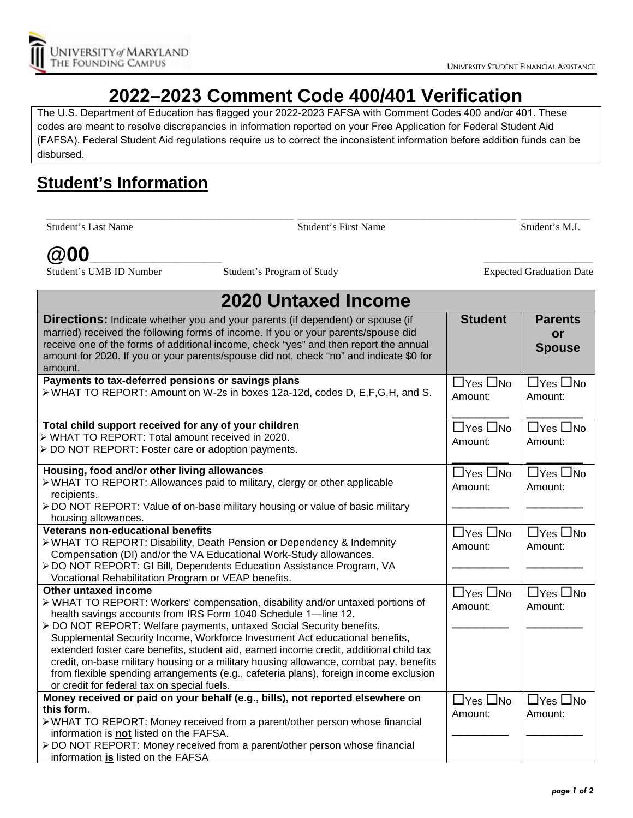

## **2022–2023 Comment Code 400/401 Verification**

The U.S. Department of Education has flagged your 2022-2023 FAFSA with Comment Codes 400 and/or 401. These codes are meant to resolve discrepancies in information reported on your Free Application for Federal Student Aid (FAFSA). Federal Student Aid regulations require us to correct the inconsistent information before addition funds can be disbursed.

## **Student's Information**

**\_\_\_\_\_\_\_\_\_\_\_\_\_\_\_\_\_\_\_\_\_\_\_\_\_\_\_\_\_\_\_\_\_\_\_\_\_\_\_\_\_\_\_ \_\_\_\_\_\_\_\_\_\_\_\_\_\_\_\_\_\_\_\_\_\_\_\_\_\_\_\_\_\_\_\_\_\_\_\_\_\_ \_\_\_\_\_\_\_\_\_\_\_\_** Student's Last Name Student's First Name Student's M.I.

## **@00\_\_\_\_\_\_\_\_\_\_\_\_\_\_\_\_\_\_\_\_\_\_\_ \_\_\_\_\_\_\_\_\_\_\_\_\_\_\_\_\_\_\_\_\_\_\_\_\_\_\_\_\_\_\_\_\_\_\_\_\_\_\_\_\_\_\_\_\_ \_\_\_\_\_\_\_\_\_\_\_\_\_\_\_\_\_\_\_**

Student's UMB ID Number Student's Program of Study Expected Graduation Date

| <b>2020 Untaxed Income</b>                                                                                                                                                                                                                                                                                                                                                                                                                                                                                                                                                                                                                                   |                                 |                                       |  |
|--------------------------------------------------------------------------------------------------------------------------------------------------------------------------------------------------------------------------------------------------------------------------------------------------------------------------------------------------------------------------------------------------------------------------------------------------------------------------------------------------------------------------------------------------------------------------------------------------------------------------------------------------------------|---------------------------------|---------------------------------------|--|
| <b>Directions:</b> Indicate whether you and your parents (if dependent) or spouse (if<br>married) received the following forms of income. If you or your parents/spouse did<br>receive one of the forms of additional income, check "yes" and then report the annual<br>amount for 2020. If you or your parents/spouse did not, check "no" and indicate \$0 for<br>amount.                                                                                                                                                                                                                                                                                   | <b>Student</b>                  | <b>Parents</b><br>or<br><b>Spouse</b> |  |
| Payments to tax-deferred pensions or savings plans<br>> WHAT TO REPORT: Amount on W-2s in boxes 12a-12d, codes D, E,F,G,H, and S.                                                                                                                                                                                                                                                                                                                                                                                                                                                                                                                            | $\Box$ Yes $\Box$ No<br>Amount: | $\Box$ Yes $\Box$ No<br>Amount:       |  |
| Total child support received for any of your children<br>> WHAT TO REPORT: Total amount received in 2020.<br>> DO NOT REPORT: Foster care or adoption payments.                                                                                                                                                                                                                                                                                                                                                                                                                                                                                              | $\Box$ Yes $\Box$ No<br>Amount: | $\Box$ Yes $\Box$ No<br>Amount:       |  |
| Housing, food and/or other living allowances<br>> WHAT TO REPORT: Allowances paid to military, clergy or other applicable<br>recipients.<br>> DO NOT REPORT: Value of on-base military housing or value of basic military<br>housing allowances.                                                                                                                                                                                                                                                                                                                                                                                                             | $\Box$ Yes $\Box$ No<br>Amount: | $\Box$ Yes $\Box$ No<br>Amount:       |  |
| <b>Veterans non-educational benefits</b><br>> WHAT TO REPORT: Disability, Death Pension or Dependency & Indemnity<br>Compensation (DI) and/or the VA Educational Work-Study allowances.<br>> DO NOT REPORT: GI Bill, Dependents Education Assistance Program, VA<br>Vocational Rehabilitation Program or VEAP benefits.                                                                                                                                                                                                                                                                                                                                      | $\Box$ Yes $\Box$ No<br>Amount: | $\Box$ Yes $\Box$ No<br>Amount:       |  |
| Other untaxed income<br>> WHAT TO REPORT: Workers' compensation, disability and/or untaxed portions of<br>health savings accounts from IRS Form 1040 Schedule 1-line 12.<br>> DO NOT REPORT: Welfare payments, untaxed Social Security benefits,<br>Supplemental Security Income, Workforce Investment Act educational benefits,<br>extended foster care benefits, student aid, earned income credit, additional child tax<br>credit, on-base military housing or a military housing allowance, combat pay, benefits<br>from flexible spending arrangements (e.g., cafeteria plans), foreign income exclusion<br>or credit for federal tax on special fuels. | $\Box$ Yes $\Box$ No<br>Amount: | $\Box$ Yes $\Box$ No<br>Amount:       |  |
| Money received or paid on your behalf (e.g., bills), not reported elsewhere on<br>this form.<br>> WHAT TO REPORT: Money received from a parent/other person whose financial<br>information is not listed on the FAFSA.<br>> DO NOT REPORT: Money received from a parent/other person whose financial<br>information is listed on the FAFSA                                                                                                                                                                                                                                                                                                                   | $\Box$ Yes $\Box$ No<br>Amount: | $\Box$ Yes $\Box$ No<br>Amount:       |  |